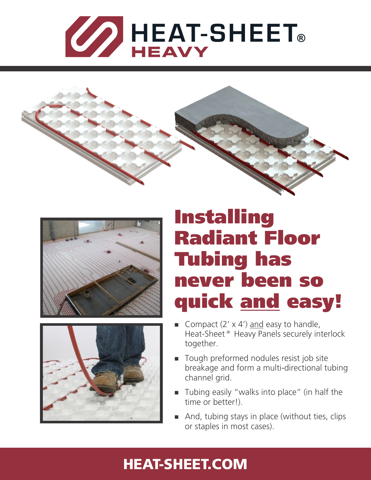







# Installing Radiant Floor Tubing has never been so quick and easy!

- Gompact  $(2' \times 4')$  and easy to handle, Heat-Sheet® Heavy Panels securely interlock together.
- Tough preformed nodules resist job site breakage and form a multi-directional tubing channel grid.
- $\blacksquare$  Tubing easily "walks into place" (in half the time or better!).
- And, tubing stays in place (without ties, clips or staples in most cases).

## [HEAT-SHEET.COM](http://heat-sheet.com)